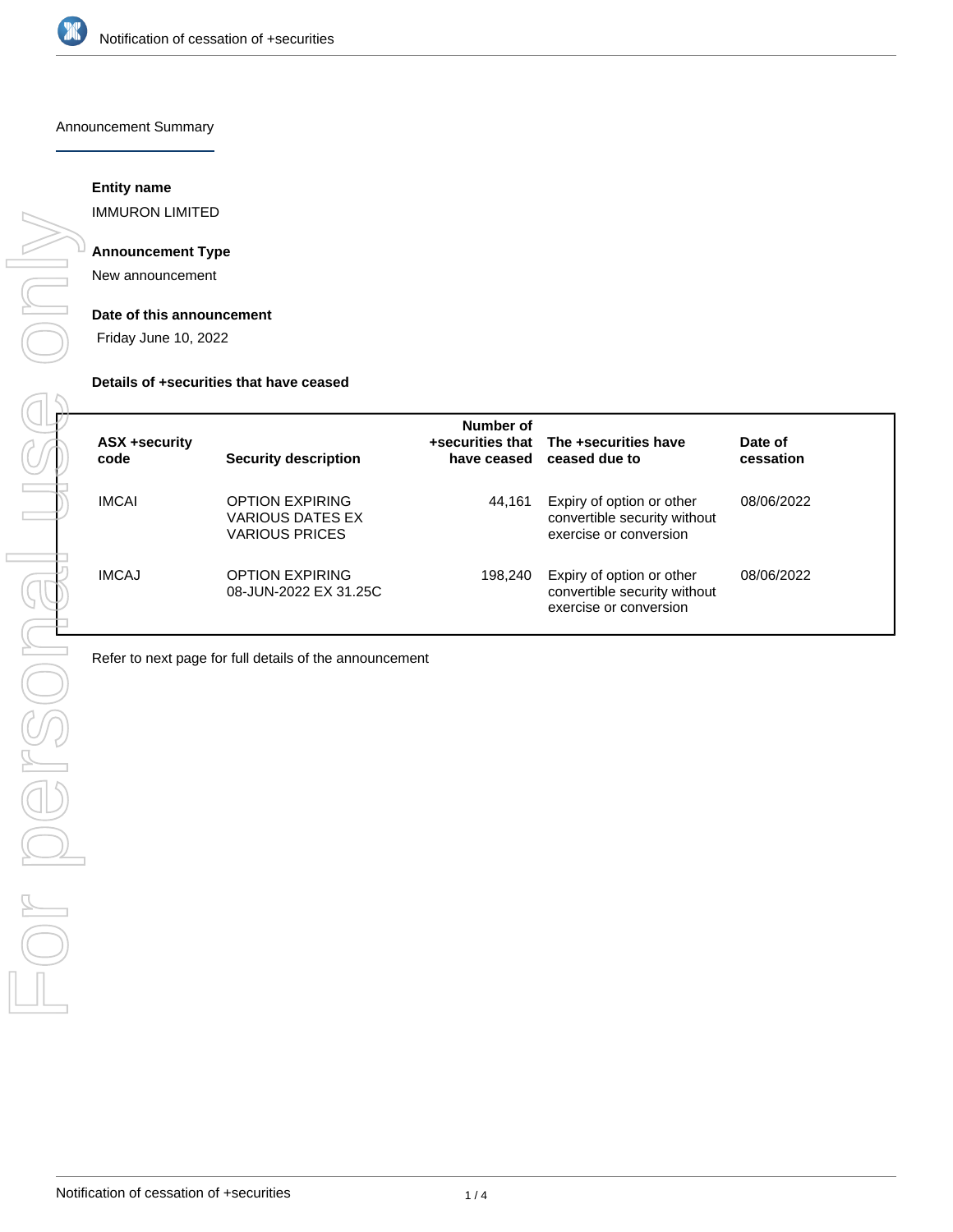

Announcement Summary

## **Entity name**

IMMURON LIMITED

# **Announcement Type**

New announcement

## **Date of this announcement**

Friday June 10, 2022

#### **Details of +securities that have ceased**

| ASX +security<br>code | Security description                                                | Number of | +securities that The +securities have<br>have ceased ceased due to                  | Date of<br>cessation |
|-----------------------|---------------------------------------------------------------------|-----------|-------------------------------------------------------------------------------------|----------------------|
| <b>IMCAI</b>          | <b>OPTION EXPIRING</b><br>VARIOUS DATES EX<br><b>VARIOUS PRICES</b> | 44.161    | Expiry of option or other<br>convertible security without<br>exercise or conversion | 08/06/2022           |
| <b>IMCAJ</b>          | <b>OPTION EXPIRING</b><br>08-JUN-2022 EX 31.25C                     | 198.240   | Expiry of option or other<br>convertible security without<br>exercise or conversion | 08/06/2022           |

Refer to next page for full details of the announcement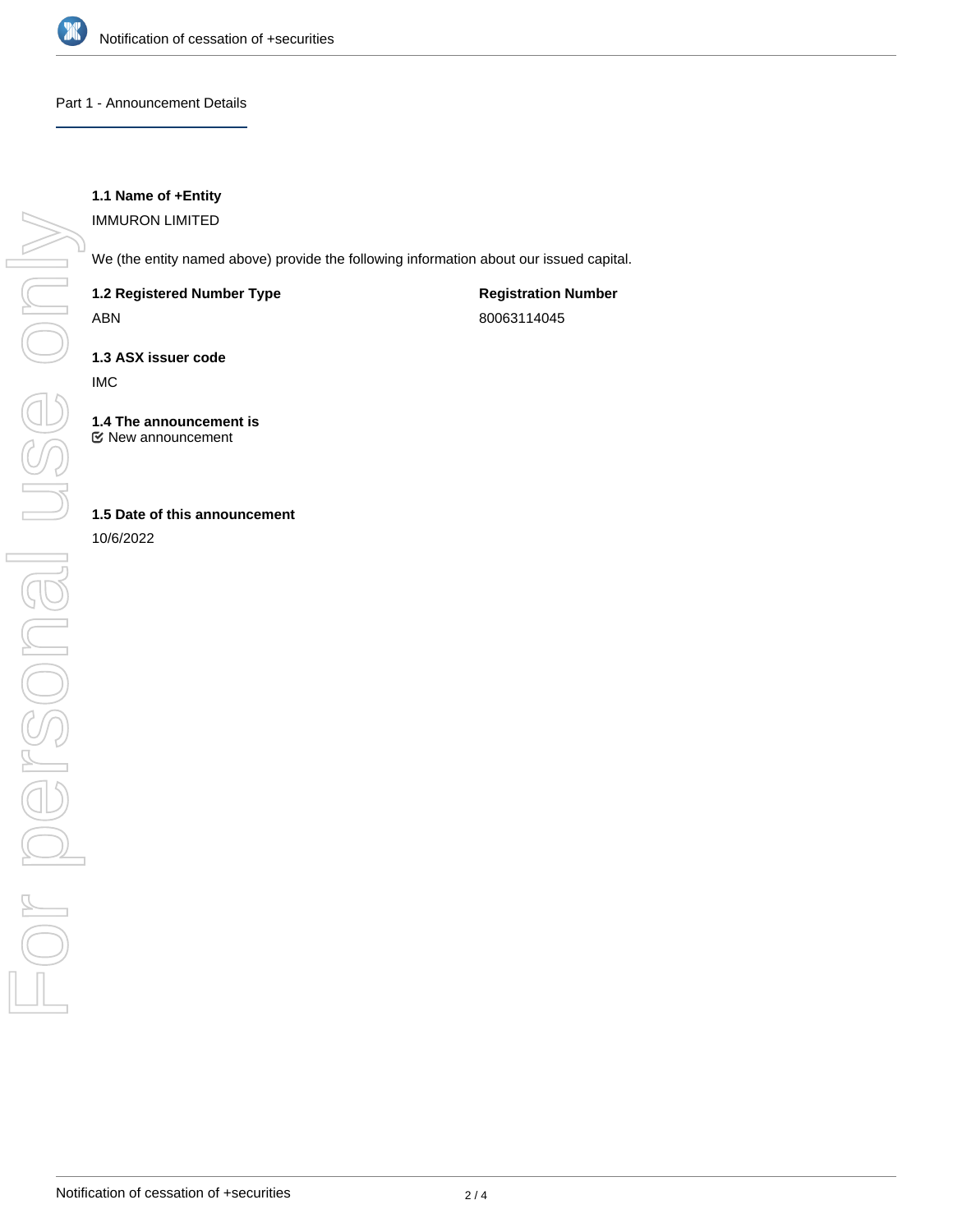

## Part 1 - Announcement Details

# **1.1 Name of +Entity**

IMMURON LIMITED

We (the entity named above) provide the following information about our issued capital.

**1.2 Registered Number Type**

ABN

**Registration Number** 80063114045

**1.3 ASX issuer code**

IMC

**1.4 The announcement is** New announcement

# **1.5 Date of this announcement**

10/6/2022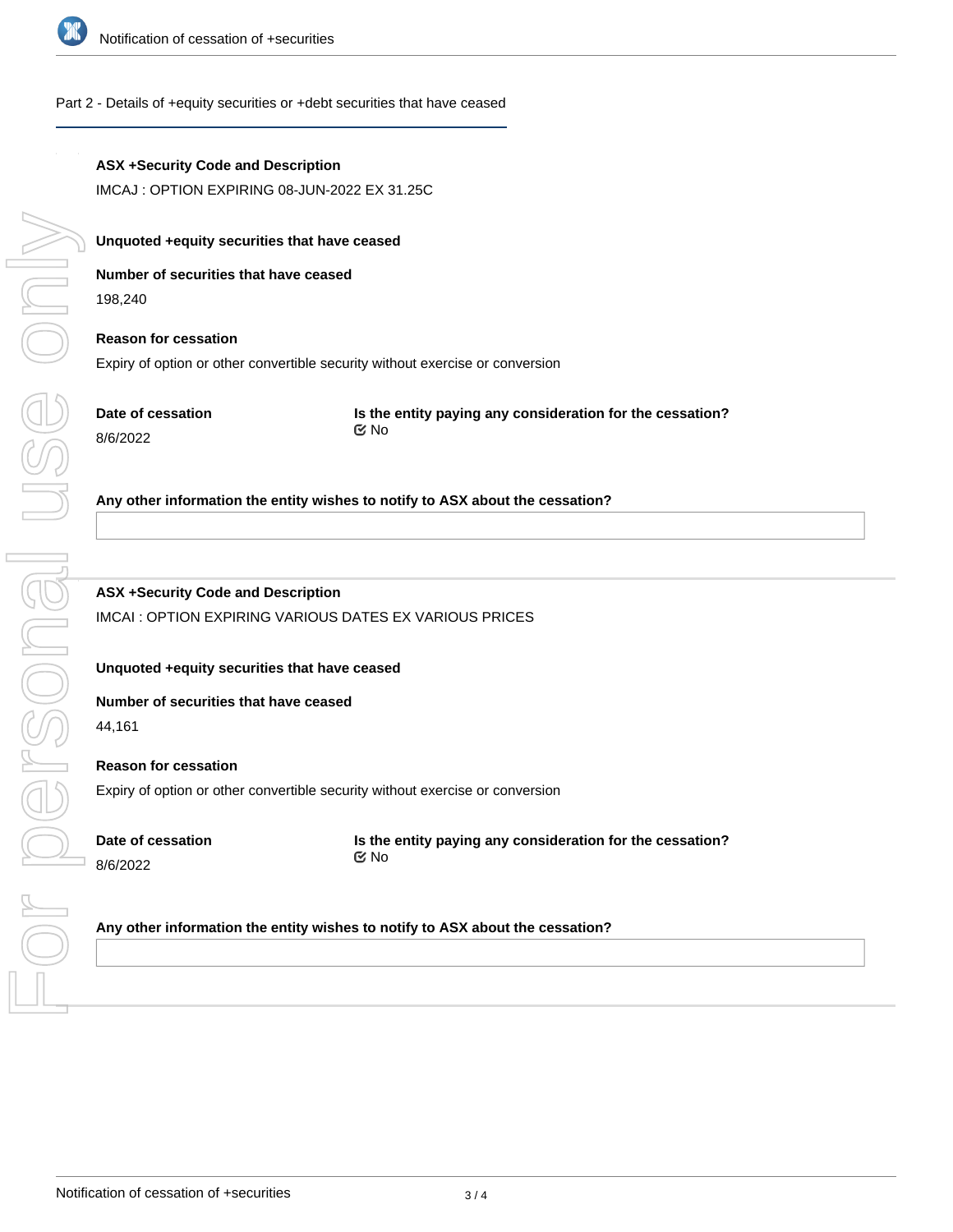

#### Part 2 - Details of +equity securities or +debt securities that have ceased

# **ASX +Security Code and Description** IMCAJ : OPTION EXPIRING 08-JUN-2022 EX 31.25C **Unquoted +equity securities that have ceased Number of securities that have ceased** 198,240 **Reason for cessation** Expiry of option or other convertible security without exercise or conversion **Date of cessation** 8/6/2022 **Is the entity paying any consideration for the cessation? Any other information the entity wishes to notify to ASX about the cessation? ASX +Security Code and Description** IMCAI : OPTION EXPIRING VARIOUS DATES EX VARIOUS PRICES **Unquoted +equity securities that have ceased Number of securities that have ceased** 44,161 **Reason for cessation** Expiry of option or other convertible security without exercise or conversion **Date of cessation** 8/6/2022 **Is the entity paying any consideration for the cessation? Any other information the entity wishes to notify to ASX about the cessation?** No No